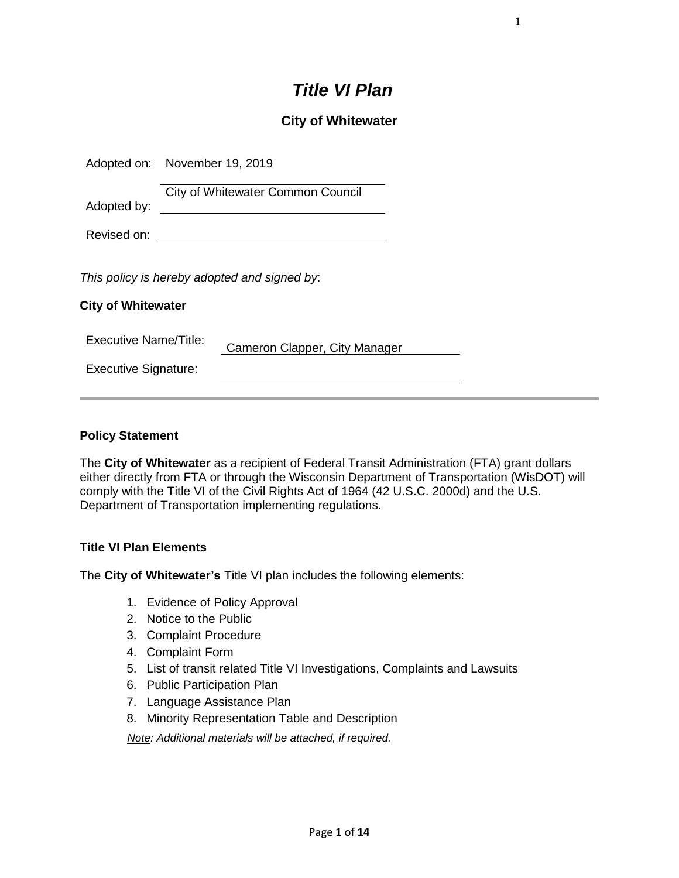# *Title VI Plan*

# **City of Whitewater**

| Adopted on: November 19, 2019 |                                              |
|-------------------------------|----------------------------------------------|
| Adopted by:                   | <b>City of Whitewater Common Council</b>     |
| Revised on:                   |                                              |
| <b>City of Whitewater</b>     | This policy is hereby adopted and signed by: |
| Executive Name/Title:         | Cameron Clapper, City Manager                |
| <b>Executive Signature:</b>   |                                              |
|                               |                                              |

### **Policy Statement**

The **City of Whitewater** as a recipient of Federal Transit Administration (FTA) grant dollars either directly from FTA or through the Wisconsin Department of Transportation (WisDOT) will comply with the Title VI of the Civil Rights Act of 1964 (42 U.S.C. 2000d) and the U.S. Department of Transportation implementing regulations.

### **Title VI Plan Elements**

The **City of Whitewater's** Title VI plan includes the following elements:

- 1. Evidence of Policy Approval
- 2. Notice to the Public
- 3. Complaint Procedure
- 4. Complaint Form
- 5. List of transit related Title VI Investigations, Complaints and Lawsuits
- 6. Public Participation Plan
- 7. Language Assistance Plan
- 8. Minority Representation Table and Description

*Note: Additional materials will be attached, if required.*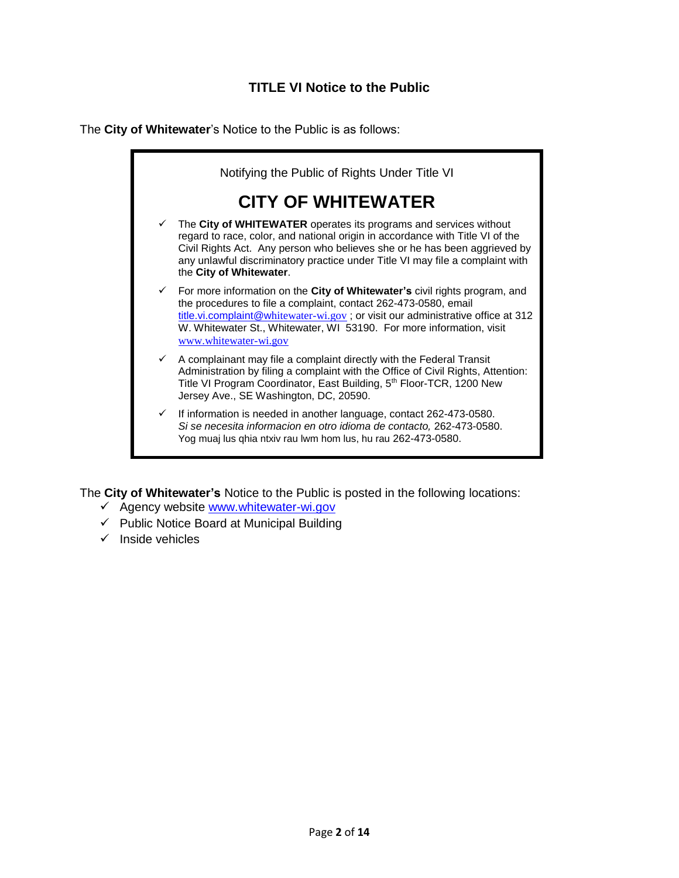The **City of Whitewater**'s Notice to the Public is as follows:



The **City of Whitewater's** Notice to the Public is posted in the following locations:

- ✓ Agency website [www.whitewater-wi.gov](http://www.whitewater-wi.gov/)
- $\checkmark$  Public Notice Board at Municipal Building
- $\checkmark$  Inside vehicles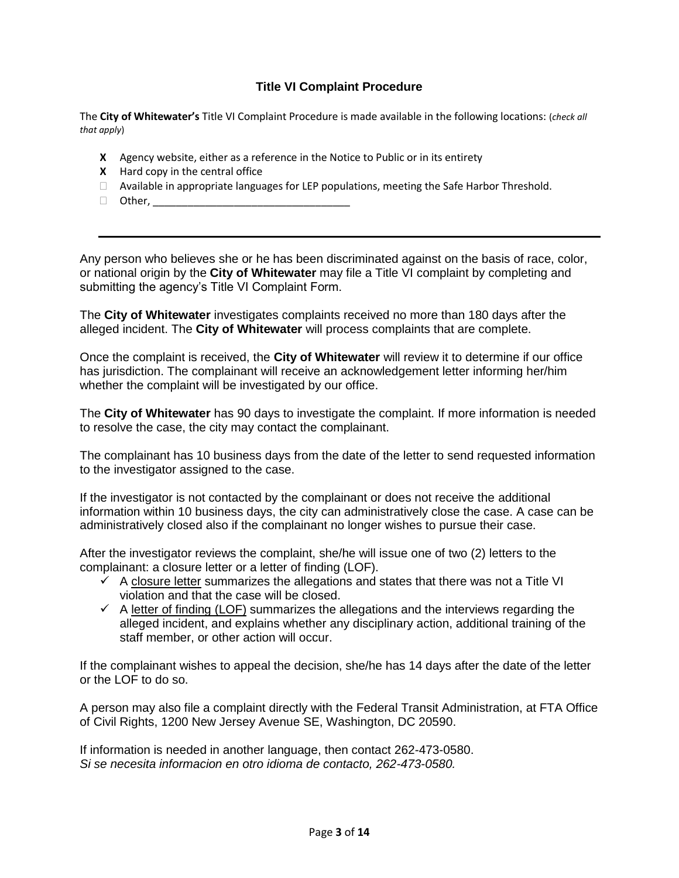# **Title VI Complaint Procedure**

The **City of Whitewater's** Title VI Complaint Procedure is made available in the following locations: (*check all that apply*)

- **X** Agency website, either as a reference in the Notice to Public or in its entirety
- **X** Hard copy in the central office
- $\Box$  Available in appropriate languages for LEP populations, meeting the Safe Harbor Threshold.
- $\Box$  Other,

Any person who believes she or he has been discriminated against on the basis of race, color, or national origin by the **City of Whitewater** may file a Title VI complaint by completing and submitting the agency's Title VI Complaint Form.

The **City of Whitewater** investigates complaints received no more than 180 days after the alleged incident. The **City of Whitewater** will process complaints that are complete.

Once the complaint is received, the **City of Whitewater** will review it to determine if our office has jurisdiction. The complainant will receive an acknowledgement letter informing her/him whether the complaint will be investigated by our office.

The **City of Whitewater** has 90 days to investigate the complaint. If more information is needed to resolve the case, the city may contact the complainant.

The complainant has 10 business days from the date of the letter to send requested information to the investigator assigned to the case.

If the investigator is not contacted by the complainant or does not receive the additional information within 10 business days, the city can administratively close the case. A case can be administratively closed also if the complainant no longer wishes to pursue their case.

After the investigator reviews the complaint, she/he will issue one of two (2) letters to the complainant: a closure letter or a letter of finding (LOF).

- $\checkmark$  A closure letter summarizes the allegations and states that there was not a Title VI violation and that the case will be closed.
- $\checkmark$  A letter of finding (LOF) summarizes the allegations and the interviews regarding the alleged incident, and explains whether any disciplinary action, additional training of the staff member, or other action will occur.

If the complainant wishes to appeal the decision, she/he has 14 days after the date of the letter or the LOF to do so.

A person may also file a complaint directly with the Federal Transit Administration, at FTA Office of Civil Rights, 1200 New Jersey Avenue SE, Washington, DC 20590.

If information is needed in another language, then contact 262-473-0580. *Si se necesita informacion en otro idioma de contacto, 262-473-0580.*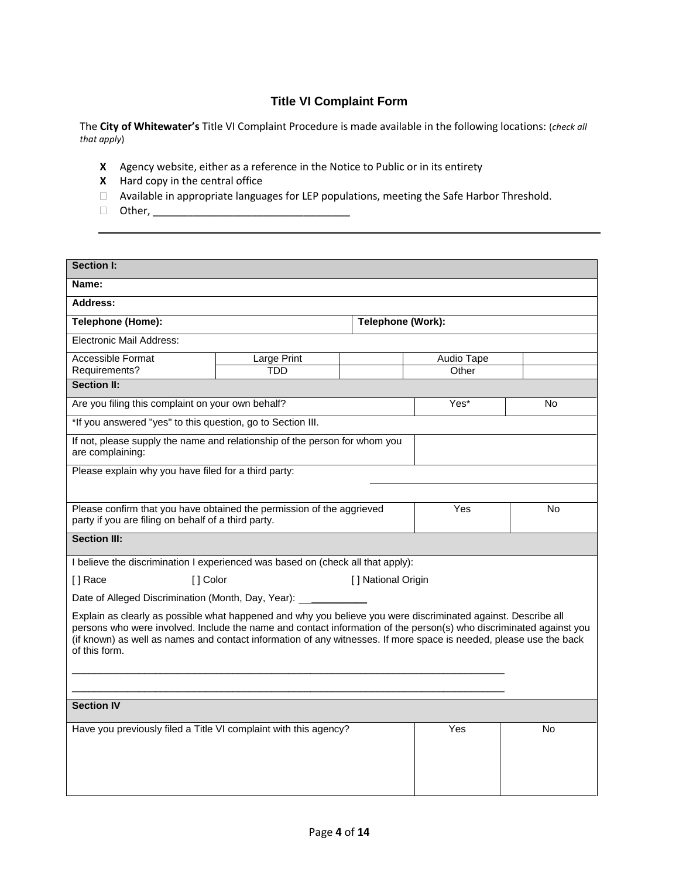# **Title VI Complaint Form**

The **City of Whitewater's** Title VI Complaint Procedure is made available in the following locations: (*check all that apply*)

- **X** Agency website, either as a reference in the Notice to Public or in its entirety
- **X** Hard copy in the central office
- Available in appropriate languages for LEP populations, meeting the Safe Harbor Threshold.
- Other, \_\_\_\_\_\_\_\_\_\_\_\_\_\_\_\_\_\_\_\_\_\_\_\_\_\_\_\_\_\_\_\_\_\_

| <b>Section I:</b>                                                                                                                                                                                                                                                                                                                                                          |             |                    |            |    |  |  |
|----------------------------------------------------------------------------------------------------------------------------------------------------------------------------------------------------------------------------------------------------------------------------------------------------------------------------------------------------------------------------|-------------|--------------------|------------|----|--|--|
| Name:                                                                                                                                                                                                                                                                                                                                                                      |             |                    |            |    |  |  |
| <b>Address:</b>                                                                                                                                                                                                                                                                                                                                                            |             |                    |            |    |  |  |
| Telephone (Home):                                                                                                                                                                                                                                                                                                                                                          |             | Telephone (Work):  |            |    |  |  |
| Electronic Mail Address:                                                                                                                                                                                                                                                                                                                                                   |             |                    |            |    |  |  |
| Accessible Format                                                                                                                                                                                                                                                                                                                                                          | Large Print |                    | Audio Tape |    |  |  |
| Requirements?                                                                                                                                                                                                                                                                                                                                                              | <b>TDD</b>  |                    | Other      |    |  |  |
| <b>Section II:</b>                                                                                                                                                                                                                                                                                                                                                         |             |                    |            |    |  |  |
| Are you filing this complaint on your own behalf?                                                                                                                                                                                                                                                                                                                          |             |                    | Yes*       | No |  |  |
| *If you answered "yes" to this question, go to Section III.                                                                                                                                                                                                                                                                                                                |             |                    |            |    |  |  |
| If not, please supply the name and relationship of the person for whom you<br>are complaining:                                                                                                                                                                                                                                                                             |             |                    |            |    |  |  |
| Please explain why you have filed for a third party:                                                                                                                                                                                                                                                                                                                       |             |                    |            |    |  |  |
|                                                                                                                                                                                                                                                                                                                                                                            |             |                    |            |    |  |  |
| Please confirm that you have obtained the permission of the aggrieved<br>party if you are filing on behalf of a third party.                                                                                                                                                                                                                                               |             |                    | Yes        | No |  |  |
| <b>Section III:</b>                                                                                                                                                                                                                                                                                                                                                        |             |                    |            |    |  |  |
| I believe the discrimination I experienced was based on (check all that apply):                                                                                                                                                                                                                                                                                            |             |                    |            |    |  |  |
| [] Color<br>[] Race                                                                                                                                                                                                                                                                                                                                                        |             | [] National Origin |            |    |  |  |
| Date of Alleged Discrimination (Month, Day, Year): _______                                                                                                                                                                                                                                                                                                                 |             |                    |            |    |  |  |
| Explain as clearly as possible what happened and why you believe you were discriminated against. Describe all<br>persons who were involved. Include the name and contact information of the person(s) who discriminated against you<br>(if known) as well as names and contact information of any witnesses. If more space is needed, please use the back<br>of this form. |             |                    |            |    |  |  |
| <b>Section IV</b>                                                                                                                                                                                                                                                                                                                                                          |             |                    |            |    |  |  |
| Have you previously filed a Title VI complaint with this agency?                                                                                                                                                                                                                                                                                                           |             |                    | <b>Yes</b> | No |  |  |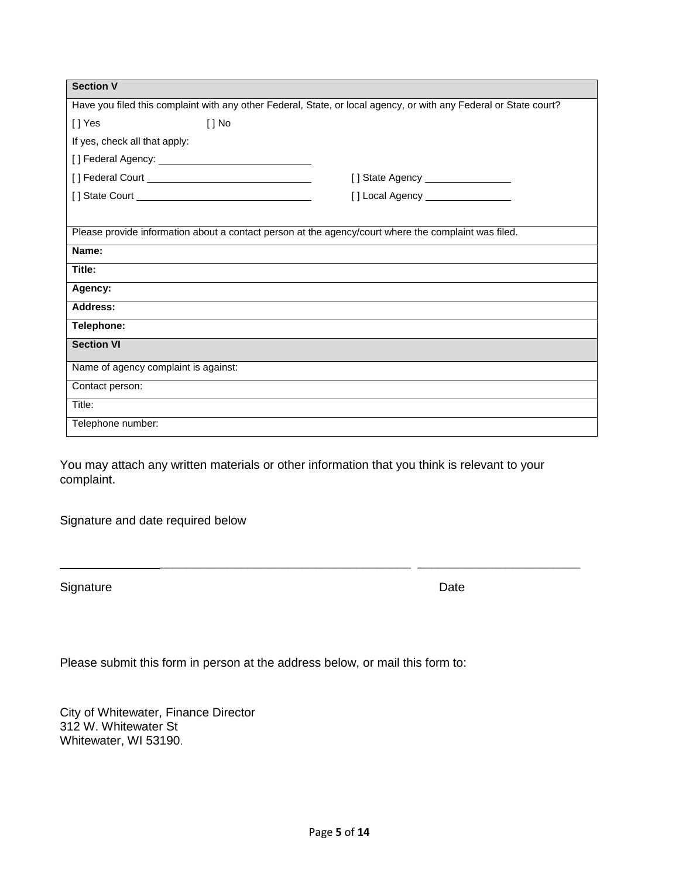| <b>Section V</b>                                                                                                  |                                    |  |  |  |  |  |
|-------------------------------------------------------------------------------------------------------------------|------------------------------------|--|--|--|--|--|
| Have you filed this complaint with any other Federal, State, or local agency, or with any Federal or State court? |                                    |  |  |  |  |  |
| [] Yes<br>$[ ]$ No                                                                                                |                                    |  |  |  |  |  |
| If yes, check all that apply:                                                                                     |                                    |  |  |  |  |  |
|                                                                                                                   |                                    |  |  |  |  |  |
|                                                                                                                   | [] State Agency _________________  |  |  |  |  |  |
|                                                                                                                   | [] Local Agency __________________ |  |  |  |  |  |
|                                                                                                                   |                                    |  |  |  |  |  |
| Please provide information about a contact person at the agency/court where the complaint was filed.              |                                    |  |  |  |  |  |
| Name:                                                                                                             |                                    |  |  |  |  |  |
| Title:                                                                                                            |                                    |  |  |  |  |  |
| Agency:                                                                                                           |                                    |  |  |  |  |  |
| <b>Address:</b>                                                                                                   |                                    |  |  |  |  |  |
| Telephone:                                                                                                        |                                    |  |  |  |  |  |
| <b>Section VI</b>                                                                                                 |                                    |  |  |  |  |  |
| Name of agency complaint is against:                                                                              |                                    |  |  |  |  |  |
| Contact person:                                                                                                   |                                    |  |  |  |  |  |
| Title:                                                                                                            |                                    |  |  |  |  |  |
| Telephone number:                                                                                                 |                                    |  |  |  |  |  |

You may attach any written materials or other information that you think is relevant to your complaint.

Signature and date required below

Signature Date

Please submit this form in person at the address below, or mail this form to:

City of Whitewater, Finance Director 312 W. Whitewater St Whitewater, WI 53190.

\_\_\_\_\_\_\_\_\_\_\_\_\_\_\_\_\_\_\_\_\_\_\_\_\_\_\_\_\_\_\_\_\_\_\_\_\_ \_\_\_\_\_\_\_\_\_\_\_\_\_\_\_\_\_\_\_\_\_\_\_\_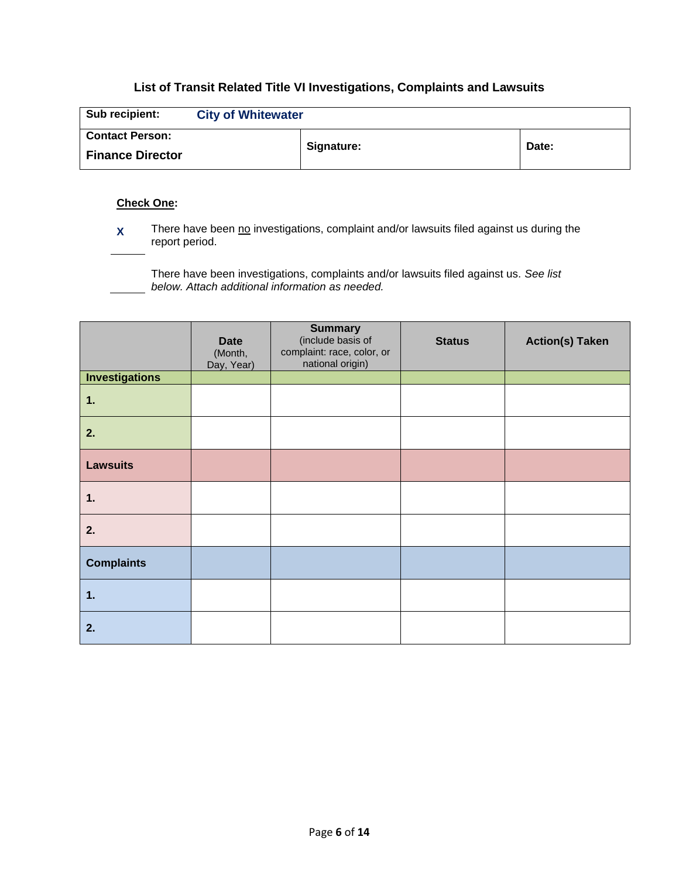# **List of Transit Related Title VI Investigations, Complaints and Lawsuits**

| Sub recipient:          | <b>City of Whitewater</b> |            |       |
|-------------------------|---------------------------|------------|-------|
| <b>Contact Person:</b>  |                           |            |       |
| <b>Finance Director</b> |                           | Signature: | Date: |

### **Check One:**

**X** There have been no investigations, complaint and/or lawsuits filed against us during the report period.

There have been investigations, complaints and/or lawsuits filed against us. *See list below. Attach additional information as needed.*

|                       | <b>Date</b><br>(Month,<br>Day, Year) | <b>Summary</b><br>(include basis of<br>complaint: race, color, or<br>national origin) | <b>Status</b> | <b>Action(s) Taken</b> |
|-----------------------|--------------------------------------|---------------------------------------------------------------------------------------|---------------|------------------------|
| <b>Investigations</b> |                                      |                                                                                       |               |                        |
| 1.                    |                                      |                                                                                       |               |                        |
| 2.                    |                                      |                                                                                       |               |                        |
| <b>Lawsuits</b>       |                                      |                                                                                       |               |                        |
| 1.                    |                                      |                                                                                       |               |                        |
| 2.                    |                                      |                                                                                       |               |                        |
| <b>Complaints</b>     |                                      |                                                                                       |               |                        |
| 1.                    |                                      |                                                                                       |               |                        |
| 2.                    |                                      |                                                                                       |               |                        |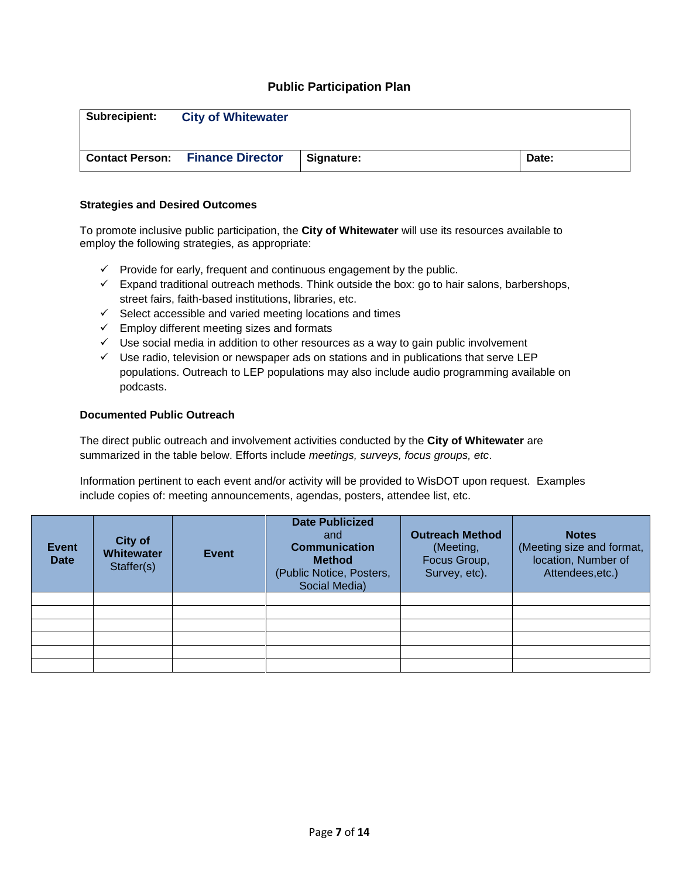### **Public Participation Plan**

| <b>Subrecipient:</b> | <b>City of Whitewater</b>               |            |       |
|----------------------|-----------------------------------------|------------|-------|
|                      | <b>Contact Person: Finance Director</b> | Signature: | Date: |

#### **Strategies and Desired Outcomes**

To promote inclusive public participation, the **City of Whitewater** will use its resources available to employ the following strategies, as appropriate:

- ✓ Provide for early, frequent and continuous engagement by the public.
- $\checkmark$  Expand traditional outreach methods. Think outside the box: go to hair salons, barbershops, street fairs, faith-based institutions, libraries, etc.
- $\checkmark$  Select accessible and varied meeting locations and times
- ✓ Employ different meeting sizes and formats
- $\checkmark$  Use social media in addition to other resources as a way to gain public involvement
- $\checkmark$  Use radio, television or newspaper ads on stations and in publications that serve LEP populations. Outreach to LEP populations may also include audio programming available on podcasts.

#### **Documented Public Outreach**

The direct public outreach and involvement activities conducted by the **City of Whitewater** are summarized in the table below. Efforts include *meetings, surveys, focus groups, etc*.

Information pertinent to each event and/or activity will be provided to WisDOT upon request. Examples include copies of: meeting announcements, agendas, posters, attendee list, etc.

| <b>Event</b><br><b>Date</b> | <b>City of</b><br><b>Whitewater</b><br>Staffer(s) | Event | <b>Date Publicized</b><br>and<br><b>Communication</b><br><b>Method</b><br>(Public Notice, Posters,<br>Social Media) | <b>Outreach Method</b><br>(Meeting,<br>Focus Group,<br>Survey, etc). | <b>Notes</b><br>(Meeting size and format,<br>location, Number of<br>Attendees, etc.) |
|-----------------------------|---------------------------------------------------|-------|---------------------------------------------------------------------------------------------------------------------|----------------------------------------------------------------------|--------------------------------------------------------------------------------------|
|                             |                                                   |       |                                                                                                                     |                                                                      |                                                                                      |
|                             |                                                   |       |                                                                                                                     |                                                                      |                                                                                      |
|                             |                                                   |       |                                                                                                                     |                                                                      |                                                                                      |
|                             |                                                   |       |                                                                                                                     |                                                                      |                                                                                      |
|                             |                                                   |       |                                                                                                                     |                                                                      |                                                                                      |
|                             |                                                   |       |                                                                                                                     |                                                                      |                                                                                      |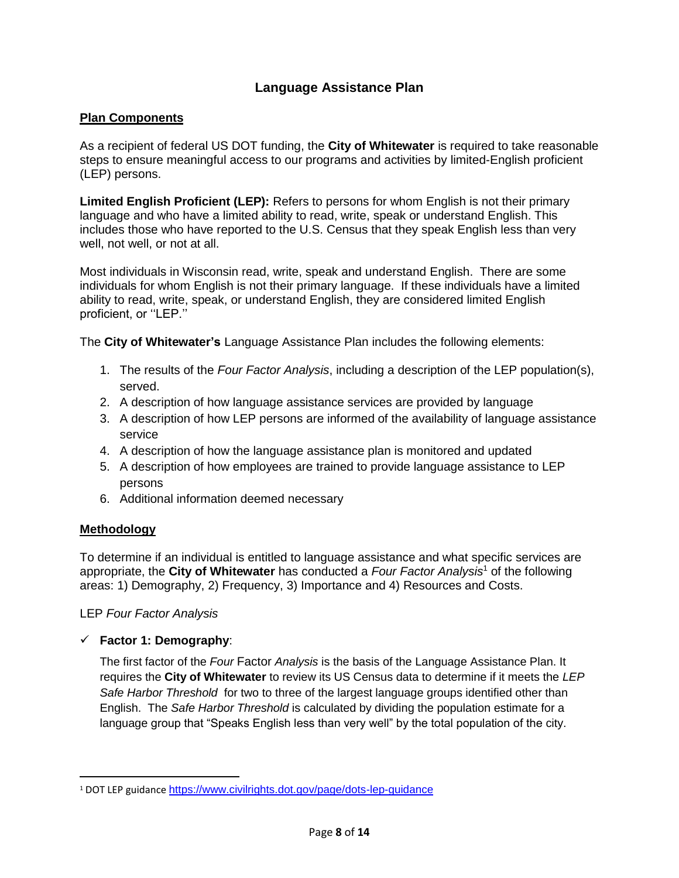# **Language Assistance Plan**

# **Plan Components**

As a recipient of federal US DOT funding, the **City of Whitewater** is required to take reasonable steps to ensure meaningful access to our programs and activities by limited-English proficient (LEP) persons.

**Limited English Proficient (LEP):** Refers to persons for whom English is not their primary language and who have a limited ability to read, write, speak or understand English. This includes those who have reported to the U.S. Census that they speak English less than very well, not well, or not at all.

Most individuals in Wisconsin read, write, speak and understand English. There are some individuals for whom English is not their primary language. If these individuals have a limited ability to read, write, speak, or understand English, they are considered limited English proficient, or ''LEP.''

The **City of Whitewater's** Language Assistance Plan includes the following elements:

- 1. The results of the *Four Factor Analysis*, including a description of the LEP population(s), served.
- 2. A description of how language assistance services are provided by language
- 3. A description of how LEP persons are informed of the availability of language assistance service
- 4. A description of how the language assistance plan is monitored and updated
- 5. A description of how employees are trained to provide language assistance to LEP persons
- 6. Additional information deemed necessary

# **Methodology**

 $\overline{a}$ 

To determine if an individual is entitled to language assistance and what specific services are appropriate, the **City of Whitewater** has conducted a *Four Factor Analysis*<sup>1</sup> of the following areas: 1) Demography, 2) Frequency, 3) Importance and 4) Resources and Costs.

LEP *Four Factor Analysis*

✓ **Factor 1: Demography**:

The first factor of the *Four* Factor *Analysis* is the basis of the Language Assistance Plan. It requires the **City of Whitewater** to review its US Census data to determine if it meets the *LEP Safe Harbor Threshold* for two to three of the largest language groups identified other than English. The *Safe Harbor Threshold* is calculated by dividing the population estimate for a language group that "Speaks English less than very well" by the total population of the city.

<sup>1</sup> DOT LEP guidance <https://www.civilrights.dot.gov/page/dots-lep-guidance>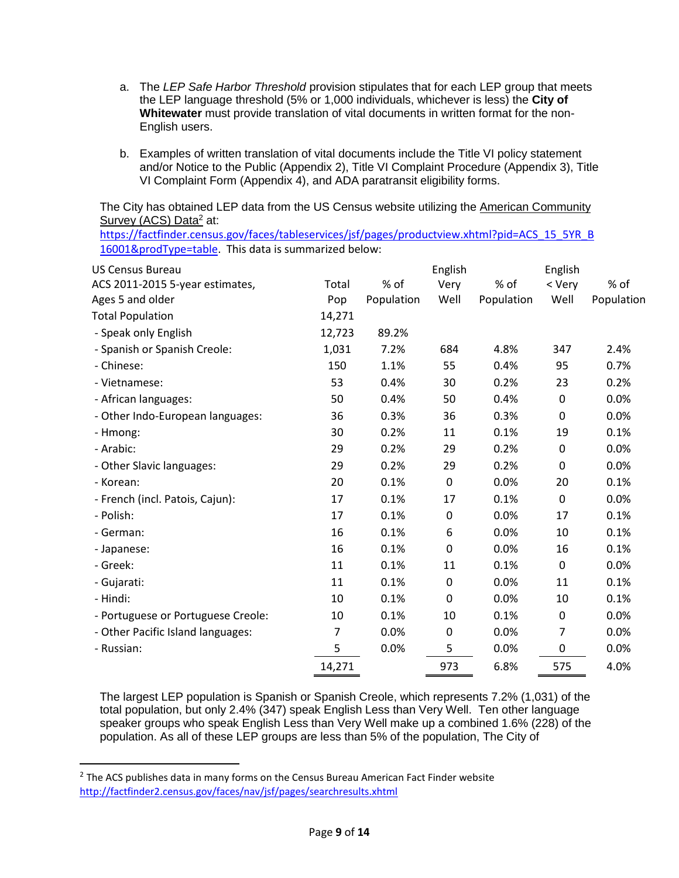- a. The *LEP Safe Harbor Threshold* provision stipulates that for each LEP group that meets the LEP language threshold (5% or 1,000 individuals, whichever is less) the **City of Whitewater** must provide translation of vital documents in written format for the non-English users.
- b. Examples of written translation of vital documents include the Title VI policy statement and/or Notice to the Public (Appendix 2), Title VI Complaint Procedure (Appendix 3), Title VI Complaint Form (Appendix 4), and ADA paratransit eligibility forms.

The City has obtained LEP data from the US Census website utilizing the American Community Survey (ACS) Data<sup>2</sup> at:

[https://factfinder.census.gov/faces/tableservices/jsf/pages/productview.xhtml?pid=ACS\\_15\\_5YR\\_B](https://factfinder.census.gov/faces/tableservices/jsf/pages/productview.xhtml?pid=ACS_15_5YR_B16001&prodType=table) [16001&prodType=table.](https://factfinder.census.gov/faces/tableservices/jsf/pages/productview.xhtml?pid=ACS_15_5YR_B16001&prodType=table) This data is summarized below:

| <b>US Census Bureau</b>            |                |            | English          |            | English        |            |
|------------------------------------|----------------|------------|------------------|------------|----------------|------------|
| ACS 2011-2015 5-year estimates,    | Total          | % of       | Very             | % of       | < Very         | $%$ of     |
| Ages 5 and older                   | Pop            | Population | Well             | Population | Well           | Population |
| <b>Total Population</b>            | 14,271         |            |                  |            |                |            |
| - Speak only English               | 12,723         | 89.2%      |                  |            |                |            |
| - Spanish or Spanish Creole:       | 1,031          | 7.2%       | 684              | 4.8%       | 347            | 2.4%       |
| - Chinese:                         | 150            | 1.1%       | 55               | 0.4%       | 95             | 0.7%       |
| - Vietnamese:                      | 53             | 0.4%       | 30               | 0.2%       | 23             | 0.2%       |
| - African languages:               | 50             | 0.4%       | 50               | 0.4%       | 0              | 0.0%       |
| - Other Indo-European languages:   | 36             | 0.3%       | 36               | 0.3%       | 0              | 0.0%       |
| - Hmong:                           | 30             | 0.2%       | 11               | 0.1%       | 19             | 0.1%       |
| - Arabic:                          | 29             | 0.2%       | 29               | 0.2%       | 0              | 0.0%       |
| - Other Slavic languages:          | 29             | 0.2%       | 29               | 0.2%       | 0              | 0.0%       |
| - Korean:                          | 20             | 0.1%       | 0                | 0.0%       | 20             | 0.1%       |
| - French (incl. Patois, Cajun):    | 17             | 0.1%       | 17               | 0.1%       | 0              | 0.0%       |
| - Polish:                          | 17             | 0.1%       | 0                | 0.0%       | 17             | 0.1%       |
| - German:                          | 16             | 0.1%       | 6                | 0.0%       | 10             | 0.1%       |
| - Japanese:                        | 16             | 0.1%       | $\boldsymbol{0}$ | 0.0%       | 16             | 0.1%       |
| - Greek:                           | 11             | 0.1%       | 11               | 0.1%       | 0              | 0.0%       |
| - Gujarati:                        | 11             | 0.1%       | $\boldsymbol{0}$ | 0.0%       | 11             | 0.1%       |
| - Hindi:                           | 10             | 0.1%       | $\boldsymbol{0}$ | 0.0%       | 10             | 0.1%       |
| - Portuguese or Portuguese Creole: | 10             | 0.1%       | 10               | 0.1%       | 0              | 0.0%       |
| - Other Pacific Island languages:  | $\overline{7}$ | 0.0%       | $\boldsymbol{0}$ | 0.0%       | $\overline{7}$ | 0.0%       |
| - Russian:                         | 5              | 0.0%       | 5                | 0.0%       | 0              | 0.0%       |
|                                    | 14,271         |            | 973              | 6.8%       | 575            | 4.0%       |

The largest LEP population is Spanish or Spanish Creole, which represents 7.2% (1,031) of the total population, but only 2.4% (347) speak English Less than Very Well. Ten other language speaker groups who speak English Less than Very Well make up a combined 1.6% (228) of the population. As all of these LEP groups are less than 5% of the population, The City of

 $\overline{a}$ 

 $2$  The ACS publishes data in many forms on the Census Bureau American Fact Finder website <http://factfinder2.census.gov/faces/nav/jsf/pages/searchresults.xhtml>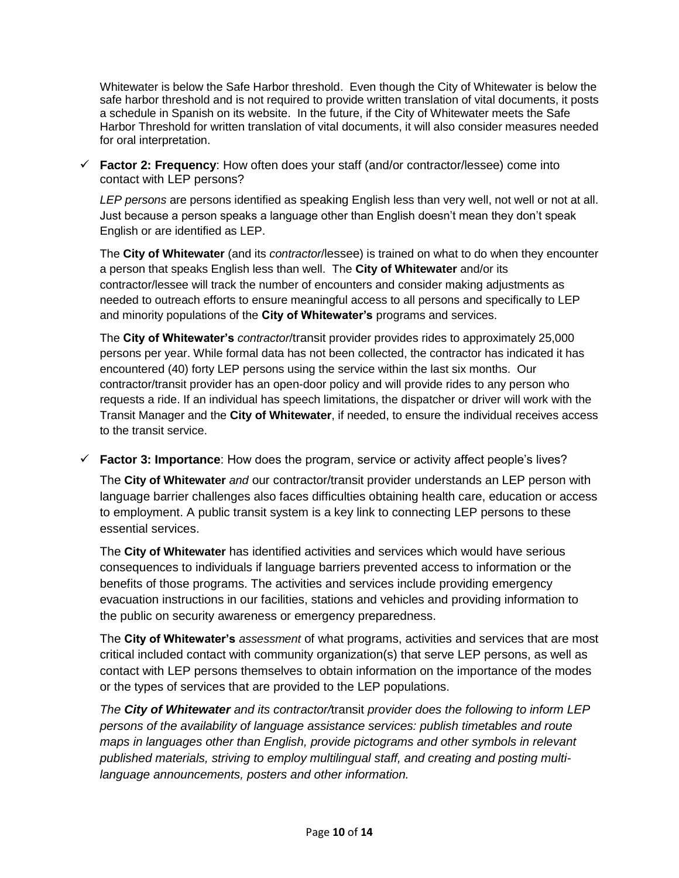Whitewater is below the Safe Harbor threshold. Even though the City of Whitewater is below the safe harbor threshold and is not required to provide written translation of vital documents, it posts a schedule in Spanish on its website. In the future, if the City of Whitewater meets the Safe Harbor Threshold for written translation of vital documents, it will also consider measures needed for oral interpretation.

✓ **Factor 2: Frequency**: How often does your staff (and/or contractor/lessee) come into contact with LEP persons?

*LEP persons* are persons identified as speaking English less than very well, not well or not at all. Just because a person speaks a language other than English doesn't mean they don't speak English or are identified as LEP.

The **City of Whitewater** (and its *contractor*/lessee) is trained on what to do when they encounter a person that speaks English less than well. The **City of Whitewater** and/or its contractor/lessee will track the number of encounters and consider making adjustments as needed to outreach efforts to ensure meaningful access to all persons and specifically to LEP and minority populations of the **City of Whitewater's** programs and services.

The **City of Whitewater's** *contractor*/transit provider provides rides to approximately 25,000 persons per year. While formal data has not been collected, the contractor has indicated it has encountered (40) forty LEP persons using the service within the last six months. Our contractor/transit provider has an open-door policy and will provide rides to any person who requests a ride. If an individual has speech limitations, the dispatcher or driver will work with the Transit Manager and the **City of Whitewater**, if needed, to ensure the individual receives access to the transit service.

✓ **Factor 3: Importance**: How does the program, service or activity affect people's lives?

The **City of Whitewater** *and* our contractor/transit provider understands an LEP person with language barrier challenges also faces difficulties obtaining health care, education or access to employment. A public transit system is a key link to connecting LEP persons to these essential services.

The **City of Whitewater** has identified activities and services which would have serious consequences to individuals if language barriers prevented access to information or the benefits of those programs. The activities and services include providing emergency evacuation instructions in our facilities, stations and vehicles and providing information to the public on security awareness or emergency preparedness.

The **City of Whitewater's** *assessment* of what programs, activities and services that are most critical included contact with community organization(s) that serve LEP persons, as well as contact with LEP persons themselves to obtain information on the importance of the modes or the types of services that are provided to the LEP populations.

*The City of Whitewater and its contractor/*transit *provider does the following to inform LEP persons of the availability of language assistance services: publish timetables and route maps in languages other than English, provide pictograms and other symbols in relevant published materials, striving to employ multilingual staff, and creating and posting multilanguage announcements, posters and other information.*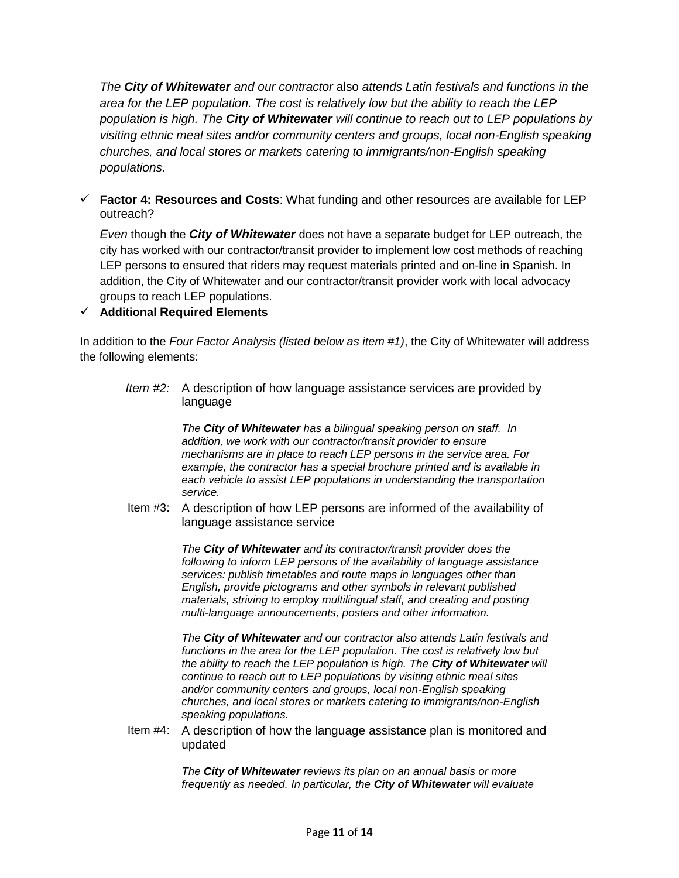*The City of Whitewater and our contractor* also *attends Latin festivals and functions in the area for the LEP population. The cost is relatively low but the ability to reach the LEP population is high. The City of Whitewater will continue to reach out to LEP populations by visiting ethnic meal sites and/or community centers and groups, local non-English speaking churches, and local stores or markets catering to immigrants/non-English speaking populations.* 

✓ **Factor 4: Resources and Costs**: What funding and other resources are available for LEP outreach?

*Even* though the *City of Whitewater* does not have a separate budget for LEP outreach, the city has worked with our contractor/transit provider to implement low cost methods of reaching LEP persons to ensured that riders may request materials printed and on-line in Spanish. In addition, the City of Whitewater and our contractor/transit provider work with local advocacy groups to reach LEP populations.

# ✓ **Additional Required Elements**

In addition to the *Four Factor Analysis (listed below as item #1)*, the City of Whitewater will address the following elements:

*Item #2:* A description of how language assistance services are provided by language

> *The City of Whitewater has a bilingual speaking person on staff. In addition, we work with our contractor/transit provider to ensure mechanisms are in place to reach LEP persons in the service area. For example, the contractor has a special brochure printed and is available in each vehicle to assist LEP populations in understanding the transportation service.*

Item #3: A description of how LEP persons are informed of the availability of language assistance service

> *The City of Whitewater and its contractor/transit provider does the following to inform LEP persons of the availability of language assistance services: publish timetables and route maps in languages other than English, provide pictograms and other symbols in relevant published materials, striving to employ multilingual staff, and creating and posting multi-language announcements, posters and other information.*

*The City of Whitewater and our contractor also attends Latin festivals and functions in the area for the LEP population. The cost is relatively low but the ability to reach the LEP population is high. The City of Whitewater will continue to reach out to LEP populations by visiting ethnic meal sites and/or community centers and groups, local non-English speaking churches, and local stores or markets catering to immigrants/non-English speaking populations.* 

Item #4: A description of how the language assistance plan is monitored and updated

> *The City of Whitewater reviews its plan on an annual basis or more frequently as needed. In particular, the City of Whitewater will evaluate*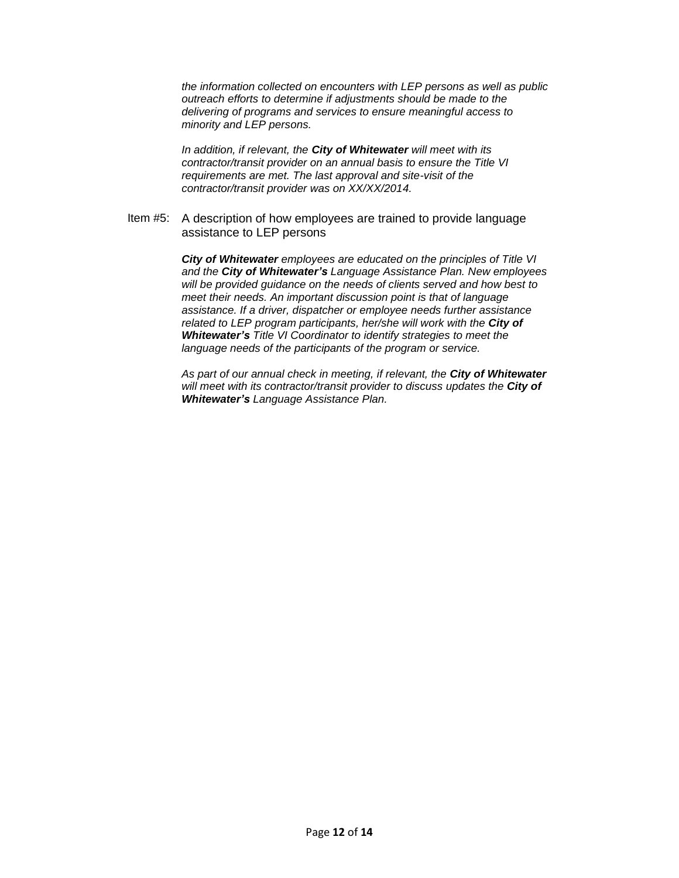*the information collected on encounters with LEP persons as well as public outreach efforts to determine if adjustments should be made to the delivering of programs and services to ensure meaningful access to minority and LEP persons.* 

*In addition, if relevant, the City of Whitewater will meet with its contractor/transit provider on an annual basis to ensure the Title VI requirements are met. The last approval and site-visit of the contractor/transit provider was on XX/XX/2014.*

Item #5: A description of how employees are trained to provide language assistance to LEP persons

> *City of Whitewater employees are educated on the principles of Title VI and the City of Whitewater's Language Assistance Plan. New employees will be provided guidance on the needs of clients served and how best to meet their needs. An important discussion point is that of language assistance. If a driver, dispatcher or employee needs further assistance related to LEP program participants, her/she will work with the City of Whitewater's Title VI Coordinator to identify strategies to meet the language needs of the participants of the program or service.*

> *As part of our annual check in meeting, if relevant, the City of Whitewater will meet with its contractor/transit provider to discuss updates the City of Whitewater's Language Assistance Plan.*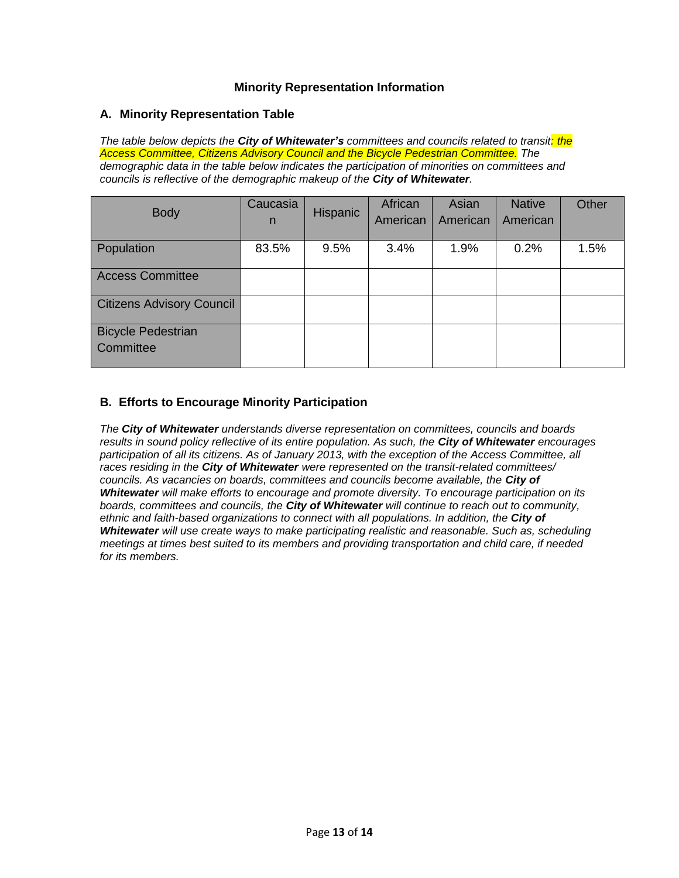### **Minority Representation Information**

### **A. Minority Representation Table**

*The table below depicts the City of Whitewater's committees and councils related to transit: the Access Committee, Citizens Advisory Council and the Bicycle Pedestrian Committee. The demographic data in the table below indicates the participation of minorities on committees and councils is reflective of the demographic makeup of the City of Whitewater.*

| <b>Body</b>                            | Caucasia<br>n | Hispanic | African<br>American | Asian<br>American | <b>Native</b><br>American | Other |
|----------------------------------------|---------------|----------|---------------------|-------------------|---------------------------|-------|
| Population                             | 83.5%         | 9.5%     | 3.4%                | 1.9%              | 0.2%                      | 1.5%  |
| <b>Access Committee</b>                |               |          |                     |                   |                           |       |
| <b>Citizens Advisory Council</b>       |               |          |                     |                   |                           |       |
| <b>Bicycle Pedestrian</b><br>Committee |               |          |                     |                   |                           |       |

# **B. Efforts to Encourage Minority Participation**

*The City of Whitewater understands diverse representation on committees, councils and boards results in sound policy reflective of its entire population. As such, the City of Whitewater <i>encourages* participation of all its citizens. As of January 2013, with the exception of the Access Committee, all *races residing in the City of Whitewater were represented on the transit-related committees/ councils. As vacancies on boards, committees and councils become available, the City of Whitewater will make efforts to encourage and promote diversity. To encourage participation on its boards, committees and councils, the City of Whitewater will continue to reach out to community,*  ethnic and faith-based organizations to connect with all populations. In addition, the **City of** *Whitewater will use create ways to make participating realistic and reasonable. Such as, scheduling meetings at times best suited to its members and providing transportation and child care, if needed for its members.*